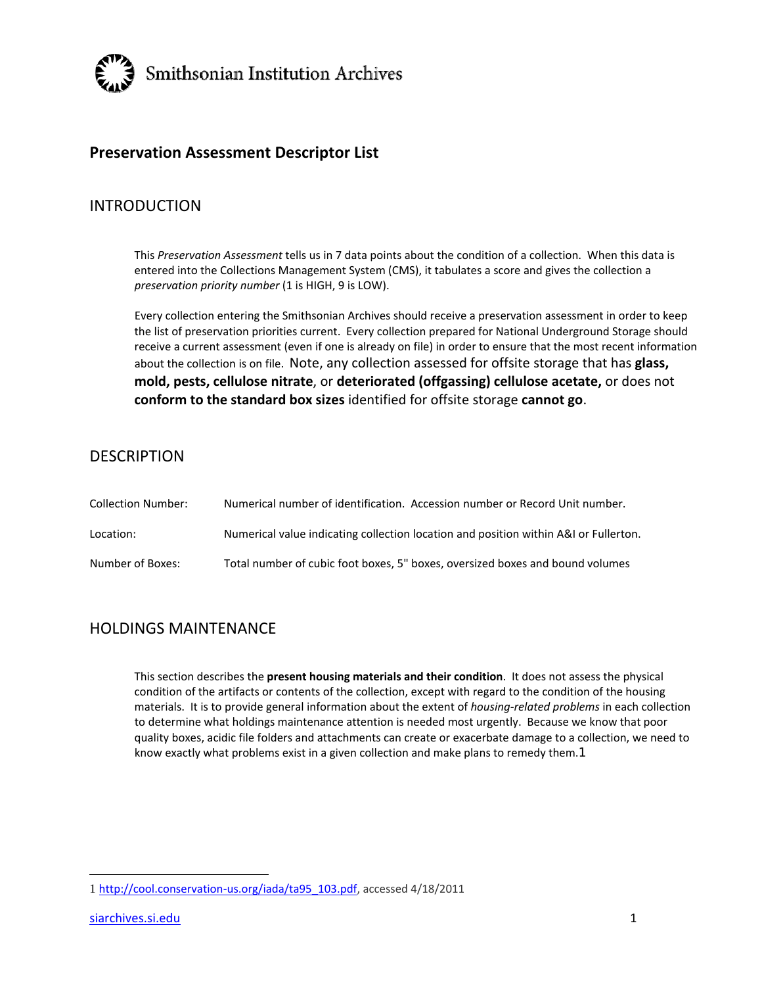

# **Preservation Assessment Descriptor List**

## INTRODUCTION

This *Preservation Assessment* tells us in 7 data points about the condition of a collection. When this data is entered into the Collections Management System (CMS), it tabulates a score and gives the collection a *preservation priority number* (1 is HIGH, 9 is LOW).

Every collection entering the Smithsonian Archives should receive a preservation assessment in order to keep the list of preservation priorities current. Every collection prepared for National Underground Storage should receive a current assessment (even if one is already on file) in order to ensure that the most recent information about the collection is on file. Note, any collection assessed for offsite storage that has **glass, mold, pests, cellulose nitrate**, or **deteriorated (offgassing) cellulose acetate,** or does not **conform to the standard box sizes** identified for offsite storage **cannot go**.

## **DESCRIPTION**

| Collection Number: | Numerical number of identification. Accession number or Record Unit number.          |
|--------------------|--------------------------------------------------------------------------------------|
| Location:          | Numerical value indicating collection location and position within A&I or Fullerton. |
| Number of Boxes:   | Total number of cubic foot boxes, 5" boxes, oversized boxes and bound volumes        |

# HOLDINGS MAINTENANCE

This section describes the **present housing materials and their condition**. It does not assess the physical condition of the artifacts or contents of the collection, except with regard to the condition of the housing materials. It is to provide general information about the extent of *housing‐related problems* in each collection to determine what holdings maintenance attention is needed most urgently. Because we know that poor quality boxes, acidic file folders and attachments can create or exacerbate damage to a collection, we need to know exactly what problems exist in a given collection and make plans to remedy them.1

<sup>1</sup> http://cool.conservation‐us.org/iada/ta95\_103.pdf, accessed 4/18/2011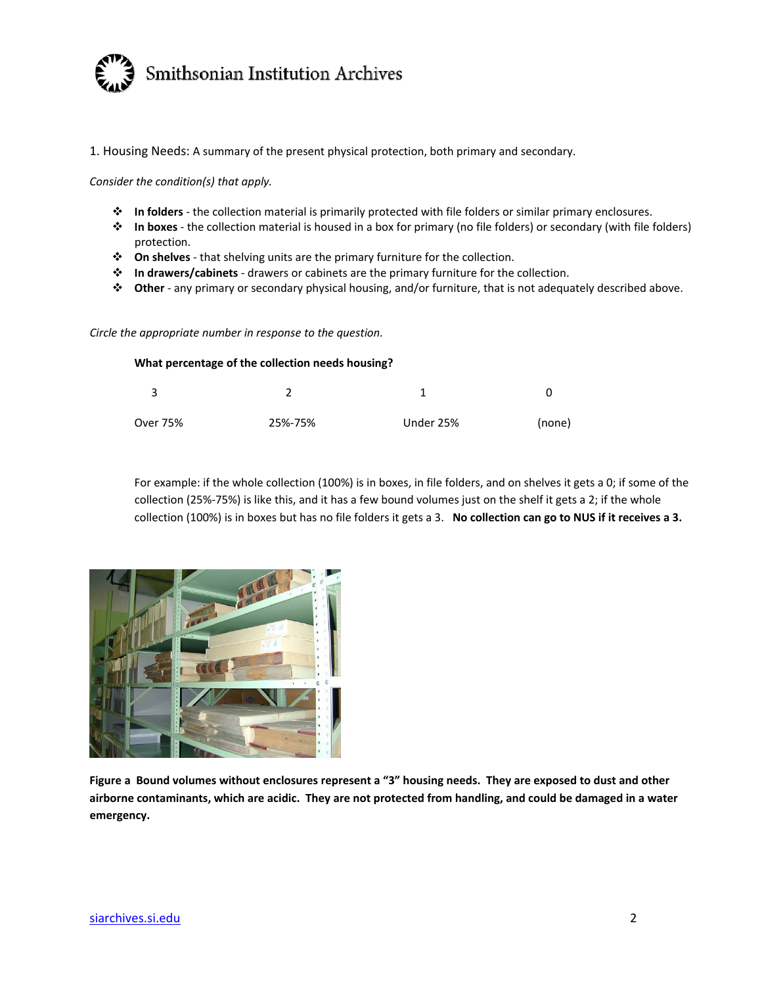

1. Housing Needs: A summary of the present physical protection, both primary and secondary.

*Consider the condition(s) that apply.*

- **In folders** ‐ the collection material is primarily protected with file folders or similar primary enclosures.
- **In boxes** ‐ the collection material is housed in a box for primary (no file folders) or secondary (with file folders) protection.
- **On shelves** ‐ that shelving units are the primary furniture for the collection.
- **In drawers/cabinets** ‐ drawers or cabinets are the primary furniture for the collection.
- **Other** ‐ any primary or secondary physical housing, and/or furniture, that is not adequately described above.

*Circle the appropriate number in response to the question.*

| What percentage of the collection needs housing? |         |           |        |  |
|--------------------------------------------------|---------|-----------|--------|--|
| 2                                                |         |           |        |  |
| Over 75%                                         | 25%-75% | Under 25% | (none) |  |

For example: if the whole collection (100%) is in boxes, in file folders, and on shelves it gets a 0; if some of the collection (25%‐75%) is like this, and it has a few bound volumes just on the shelf it gets a 2; if the whole collection (100%) is in boxes but has no file folders it gets a 3. **No collection can go to NUS if it receives a 3.**



Figure a Bound volumes without enclosures represent a "3" housing needs. They are exposed to dust and other airborne contaminants, which are acidic. They are not protected from handling, and could be damaged in a water **emergency.**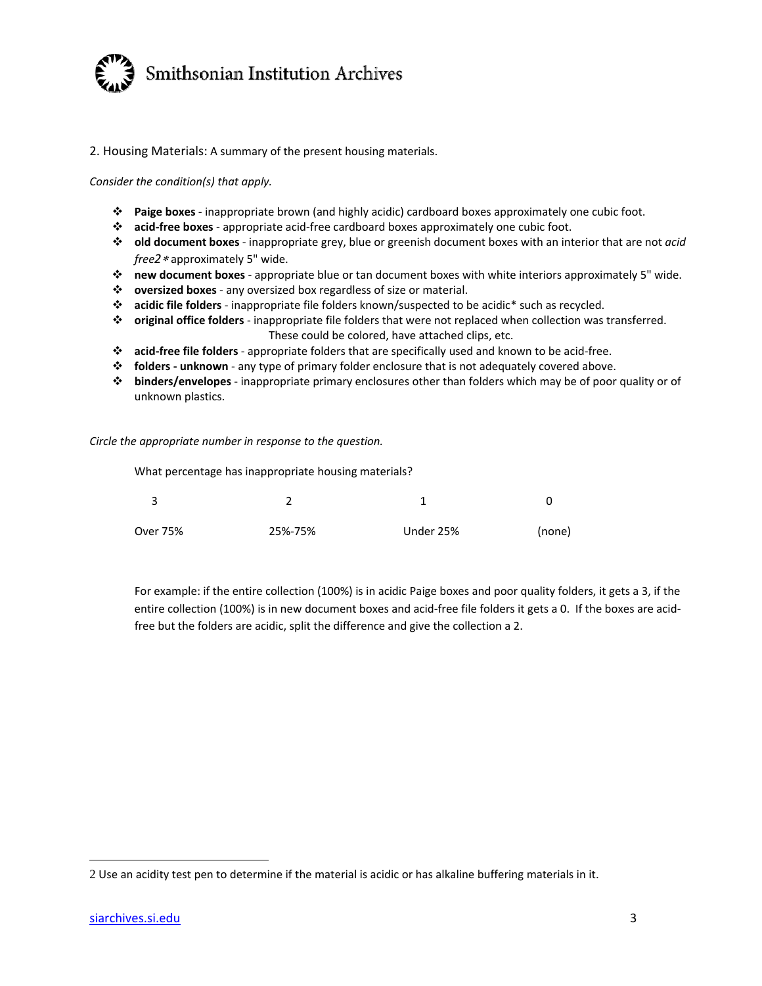

2. Housing Materials: A summary of the present housing materials.

*Consider the condition(s) that apply.*

- **Paige boxes** ‐ inappropriate brown (and highly acidic) cardboard boxes approximately one cubic foot.
- **acid‐free boxes** ‐ appropriate acid‐free cardboard boxes approximately one cubic foot.
- **old document boxes** ‐ inappropriate grey, blue or greenish document boxes with an interior that are not *acid* free2 \* approximately 5" wide.
- **new document boxes** ‐ appropriate blue or tan document boxes with white interiors approximately 5" wide.
- **oversized boxes** ‐ any oversized box regardless of size or material.
- **acidic file folders** ‐ inappropriate file folders known/suspected to be acidic\* such as recycled.
- **original office folders** ‐ inappropriate file folders that were not replaced when collection was transferred. These could be colored, have attached clips, etc.
- **acid‐free file folders** ‐ appropriate folders that are specifically used and known to be acid‐free.
- **folders ‐ unknown** ‐ any type of primary folder enclosure that is not adequately covered above.
- **binders/envelopes** ‐ inappropriate primary enclosures other than folders which may be of poor quality or of unknown plastics.

*Circle the appropriate number in response to the question.*

What percentage has inappropriate housing materials?

| ્ર       |         |           |        |
|----------|---------|-----------|--------|
| Over 75% | 25%-75% | Under 25% | (none) |

For example: if the entire collection (100%) is in acidic Paige boxes and poor quality folders, it gets a 3, if the entire collection (100%) is in new document boxes and acid-free file folders it gets a 0. If the boxes are acidfree but the folders are acidic, split the difference and give the collection a 2.

<sup>2</sup> Use an acidity test pen to determine if the material is acidic or has alkaline buffering materials in it.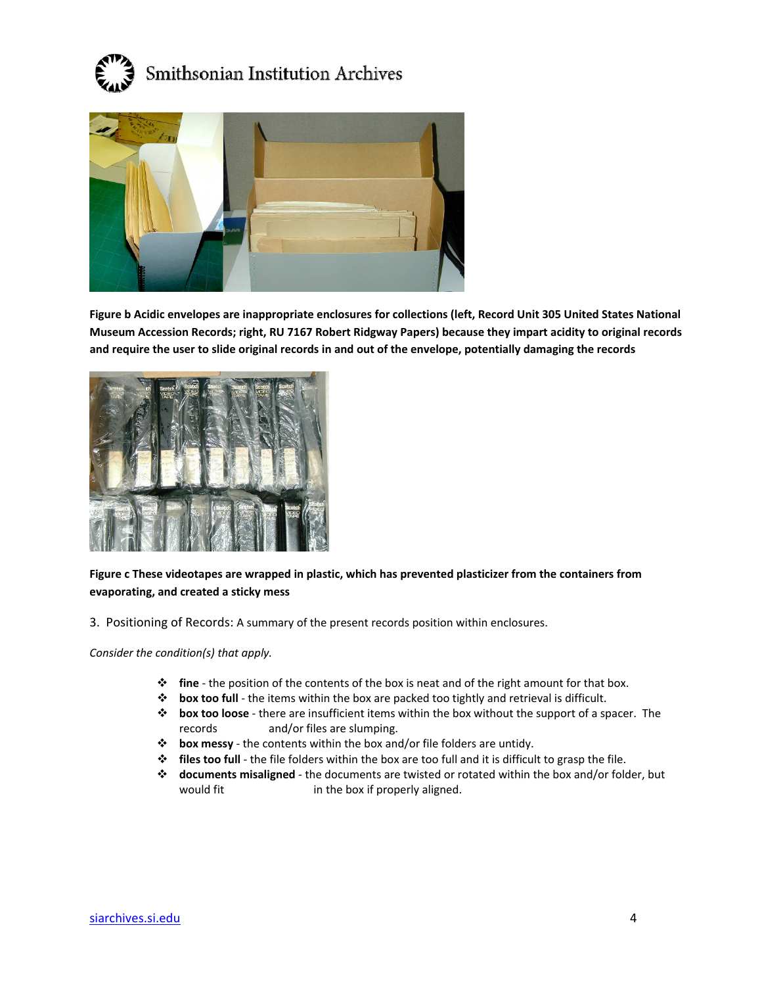



Figure b Acidic envelopes are inappropriate enclosures for collections (left, Record Unit 305 United States National **Museum Accession Records; right, RU 7167 Robert Ridgway Papers) because they impart acidity to original records** and require the user to slide original records in and out of the envelope, potentially damaging the records



**Figure c These videotapes are wrapped in plastic, which has prevented plasticizer from the containers from evaporating, and created a sticky mess**

3. Positioning of Records: A summary of the present records position within enclosures.

*Consider the condition(s) that apply.*

- **fine** ‐ the position of the contents of the box is neat and of the right amount for that box.
- **box too full** ‐ the items within the box are packed too tightly and retrieval is difficult.
- **box too loose** ‐ there are insufficient items within the box without the support of a spacer. The records and/or files are slumping.
- **box messy** ‐ the contents within the box and/or file folders are untidy.
- **files too full** ‐ the file folders within the box are too full and it is difficult to grasp the file.
- **documents misaligned** ‐ the documents are twisted or rotated within the box and/or folder, but would fit **in the box if properly aligned**.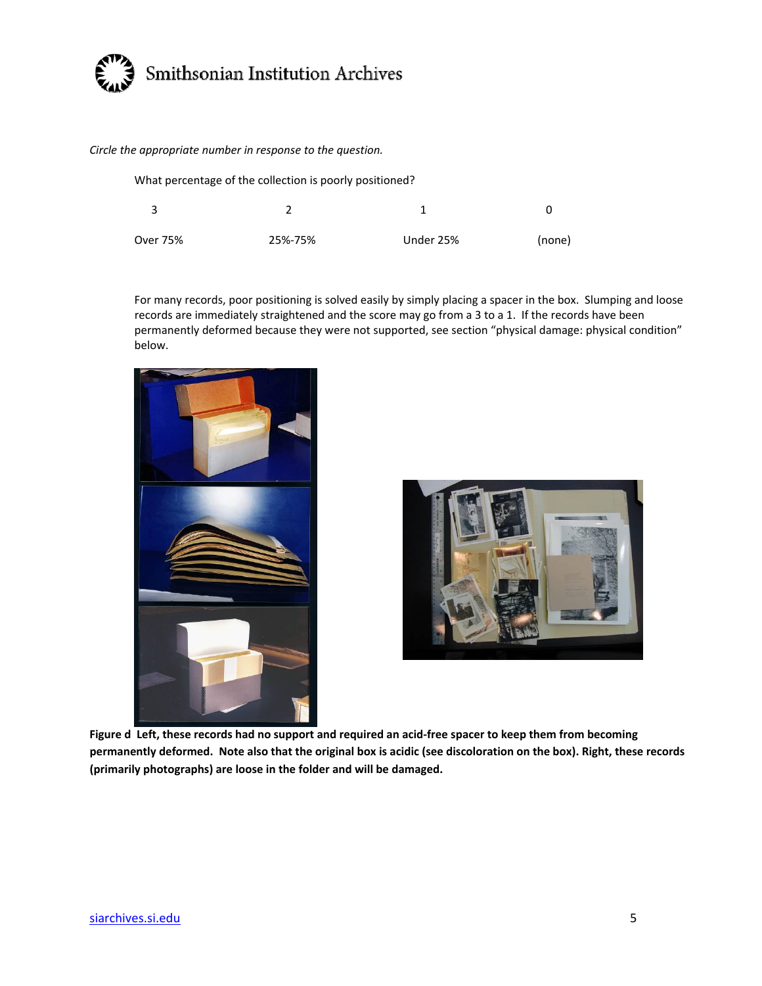

*Circle the appropriate number in response to the question.*

|          | What percentage of the collection is poorly positioned? |           |        |
|----------|---------------------------------------------------------|-----------|--------|
|          |                                                         |           |        |
| Over 75% | 25%-75%                                                 | Under 25% | (none) |

For many records, poor positioning is solved easily by simply placing a spacer in the box. Slumping and loose records are immediately straightened and the score may go from a 3 to a 1. If the records have been permanently deformed because they were not supported, see section "physical damage: physical condition" below.





Figure d Left, these records had no support and required an acid-free spacer to keep them from becoming permanently deformed. Note also that the original box is acidic (see discoloration on the box). Right, these records **(primarily photographs) are loose in the folder and will be damaged.**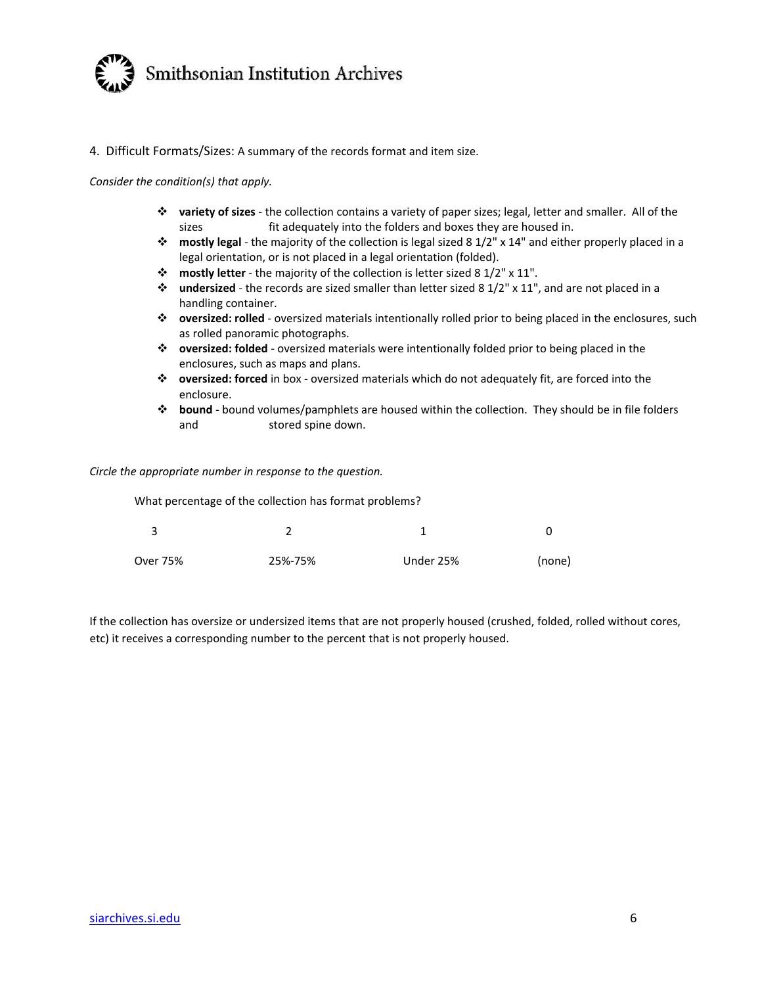

### 4. Difficult Formats/Sizes: A summary of the records format and item size.

#### *Consider the condition(s) that apply.*

- **variety of sizes** ‐ the collection contains a variety of paper sizes; legal, letter and smaller. All of the sizes **interpretenally into the folders and boxes they are housed in.**
- **mostly legal** ‐ the majority of the collection is legal sized 8 1/2" x 14" and either properly placed in a legal orientation, or is not placed in a legal orientation (folded).
- **mostly letter** ‐ the majority of the collection is letter sized 8 1/2" x 11".
- **undersized** ‐ the records are sized smaller than letter sized 8 1/2" x 11", and are not placed in a handling container.
- **oversized: rolled** ‐ oversized materials intentionally rolled prior to being placed in the enclosures, such as rolled panoramic photographs.
- **oversized: folded** ‐ oversized materials were intentionally folded prior to being placed in the enclosures, such as maps and plans.
- **oversized: forced** in box ‐ oversized materials which do not adequately fit, are forced into the enclosure.
- **bound** ‐ bound volumes/pamphlets are housed within the collection. They should be in file folders and stored spine down.

#### *Circle the appropriate number in response to the question.*

What percentage of the collection has format problems?

| Over 75% | 25%-75% | Under 25% | (none) |
|----------|---------|-----------|--------|

If the collection has oversize or undersized items that are not properly housed (crushed, folded, rolled without cores, etc) it receives a corresponding number to the percent that is not properly housed.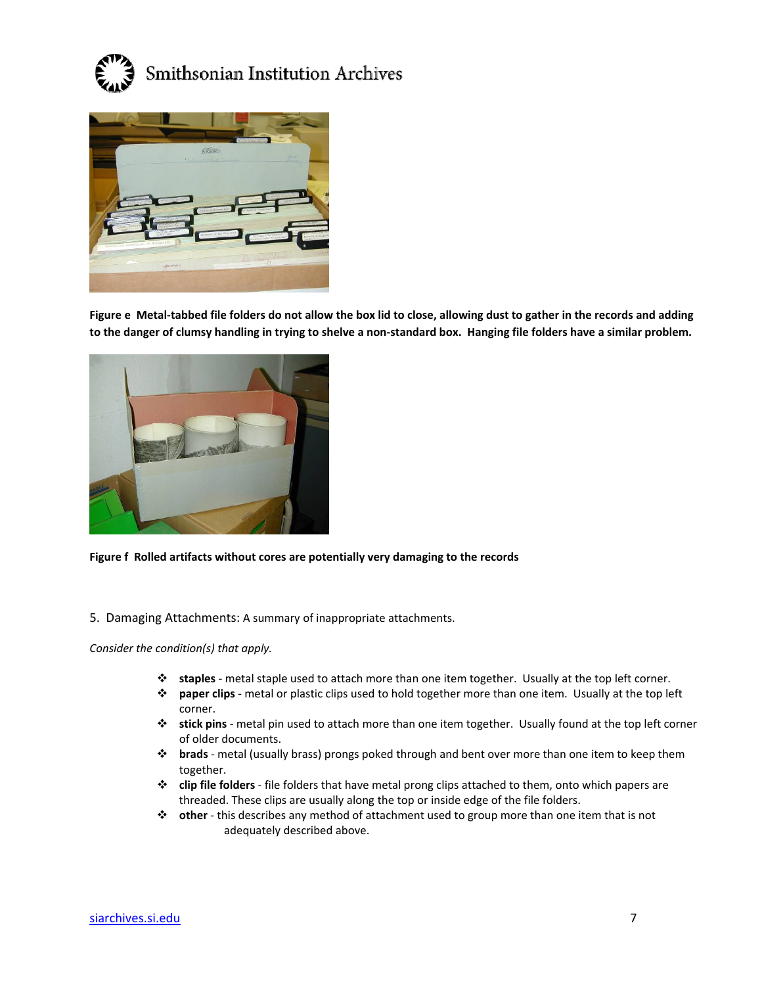



Figure e Metal-tabbed file folders do not allow the box lid to close, allowing dust to gather in the records and adding to the danger of clumsy handling in trying to shelve a non-standard box. Hanging file folders have a similar problem.



**Figure f Rolled artifacts without cores are potentially very damaging to the records**

5. Damaging Attachments: A summary of inappropriate attachments.

*Consider the condition(s) that apply.*

- **staples** ‐ metal staple used to attach more than one item together. Usually at the top left corner.
- **paper clips** ‐ metal or plastic clips used to hold together more than one item. Usually at the top left corner.
- **stick pins** ‐ metal pin used to attach more than one item together. Usually found at the top left corner of older documents.
- **brads** ‐ metal (usually brass) prongs poked through and bent over more than one item to keep them together.
- **clip file folders** ‐ file folders that have metal prong clips attached to them, onto which papers are threaded. These clips are usually along the top or inside edge of the file folders.
- **other** ‐ this describes any method of attachment used to group more than one item that is not adequately described above.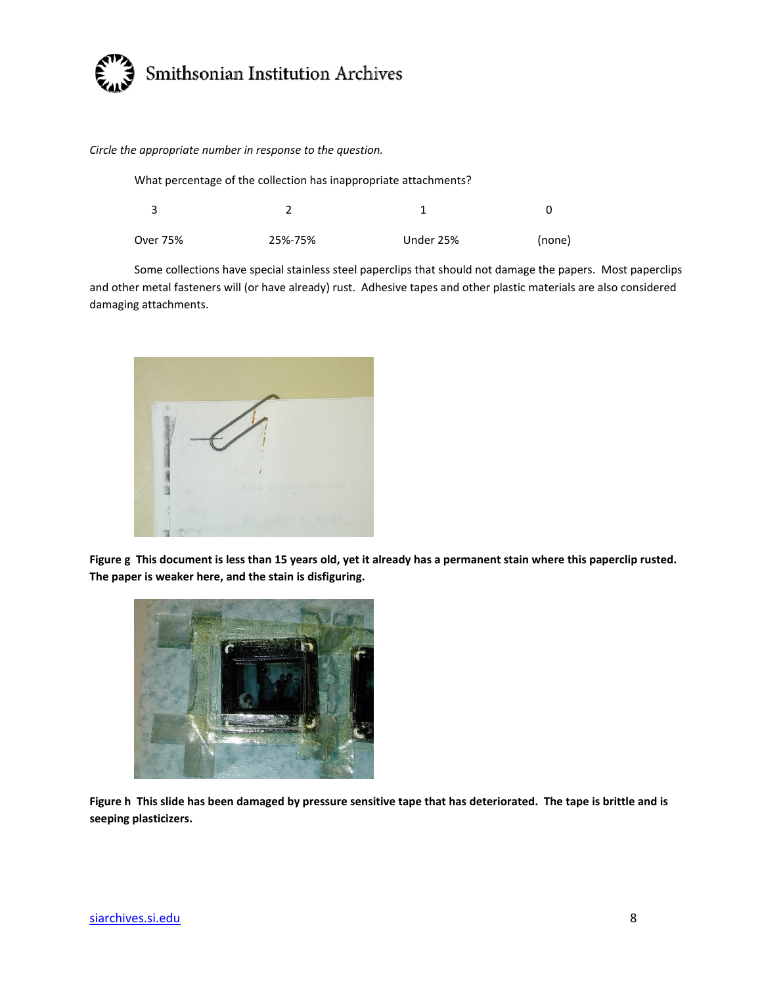

*Circle the appropriate number in response to the question.*

|          | What percentage of the collection has inappropriate attachments? |           |        |
|----------|------------------------------------------------------------------|-----------|--------|
|          |                                                                  |           |        |
| Over 75% | 25%-75%                                                          | Under 25% | (none) |

Some collections have special stainless steel paperclips that should not damage the papers. Most paperclips and other metal fasteners will (or have already) rust. Adhesive tapes and other plastic materials are also considered damaging attachments.



Figure g This document is less than 15 years old, yet it already has a permanent stain where this paperclip rusted. **The paper is weaker here, and the stain is disfiguring.**



Figure h This slide has been damaged by pressure sensitive tape that has deteriorated. The tape is brittle and is **seeping plasticizers.**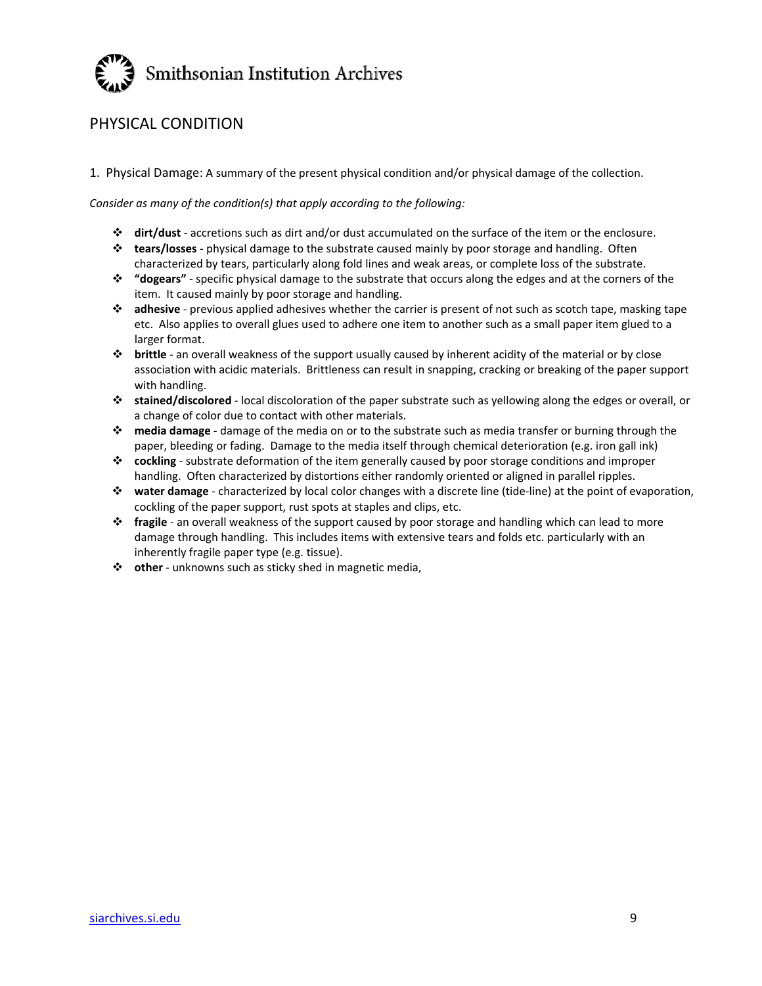

# PHYSICAL CONDITION

1. Physical Damage: A summary of the present physical condition and/or physical damage of the collection.

*Consider as many of the condition(s) that apply according to the following:*

- **dirt/dust** ‐ accretions such as dirt and/or dust accumulated on the surface of the item or the enclosure.
- **tears/losses** ‐ physical damage to the substrate caused mainly by poor storage and handling. Often characterized by tears, particularly along fold lines and weak areas, or complete loss of the substrate.
- **"dogears"** ‐ specific physical damage to the substrate that occurs along the edges and at the corners of the item. It caused mainly by poor storage and handling.
- **adhesive** ‐ previous applied adhesives whether the carrier is present of not such as scotch tape, masking tape etc. Also applies to overall glues used to adhere one item to another such as a small paper item glued to a larger format.
- **brittle** ‐ an overall weakness of the support usually caused by inherent acidity of the material or by close association with acidic materials. Brittleness can result in snapping, cracking or breaking of the paper support with handling.
- **stained/discolored** ‐ local discoloration of the paper substrate such as yellowing along the edges or overall, or a change of color due to contact with other materials.
- **media damage** ‐ damage of the media on or to the substrate such as media transfer or burning through the paper, bleeding or fading. Damage to the media itself through chemical deterioration (e.g. iron gall ink)
- **cockling** ‐ substrate deformation of the item generally caused by poor storage conditions and improper handling. Often characterized by distortions either randomly oriented or aligned in parallel ripples.
- **water damage** ‐ characterized by local color changes with a discrete line (tide‐line) at the point of evaporation, cockling of the paper support, rust spots at staples and clips, etc.
- **fragile** ‐ an overall weakness of the support caused by poor storage and handling which can lead to more damage through handling. This includes items with extensive tears and folds etc. particularly with an inherently fragile paper type (e.g. tissue).
- **other** ‐ unknowns such as sticky shed in magnetic media,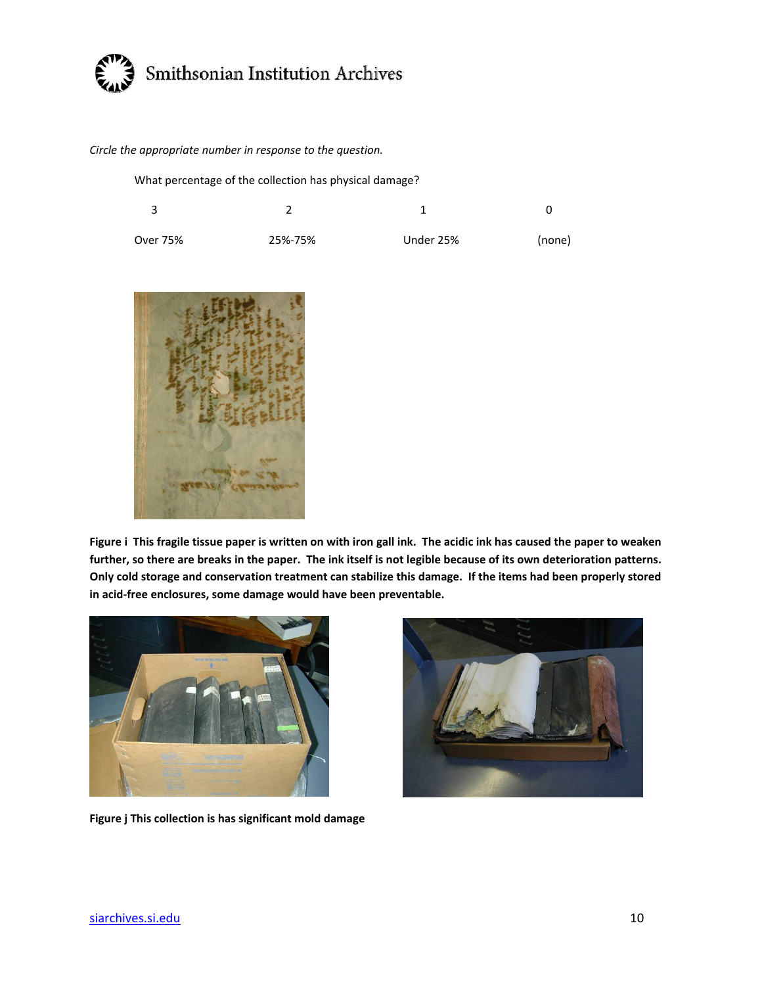

### *Circle the appropriate number in response to the question.*

What percentage of the collection has physical damage?

| Over 75% | 25%-75% | Under 25% | (none) |
|----------|---------|-----------|--------|



Figure i This fragile tissue paper is written on with iron gall ink. The acidic ink has caused the paper to weaken further, so there are breaks in the paper. The ink itself is not legible because of its own deterioration patterns. Only cold storage and conservation treatment can stabilize this damage. If the items had been properly stored **in acid‐free enclosures, some damage would have been preventable.**



**Figure j This collection is has significant mold damage**

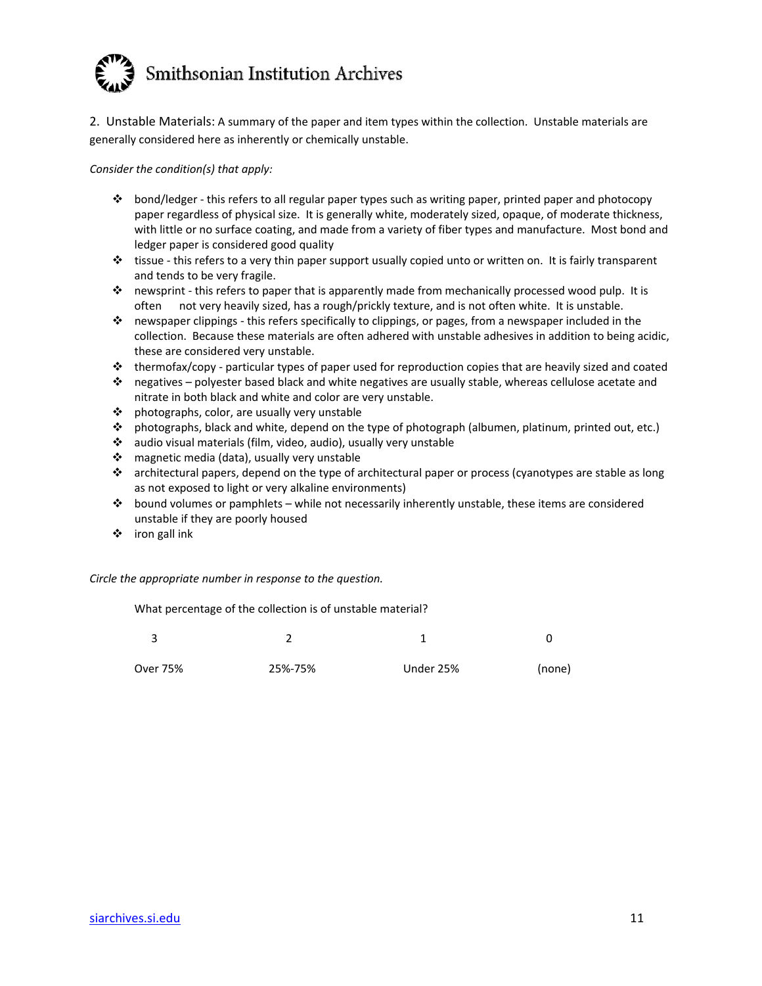

2. Unstable Materials: A summary of the paper and item types within the collection. Unstable materials are generally considered here as inherently or chemically unstable.

*Consider the condition(s) that apply:*

- bond/ledger ‐ this refers to all regular paper types such as writing paper, printed paper and photocopy paper regardless of physical size. It is generally white, moderately sized, opaque, of moderate thickness, with little or no surface coating, and made from a variety of fiber types and manufacture. Most bond and ledger paper is considered good quality
- tissue ‐ this refers to a very thin paper support usually copied unto or written on. It is fairly transparent and tends to be very fragile.
- $\dots$  newsprint this refers to paper that is apparently made from mechanically processed wood pulp. It is often not very heavily sized, has a rough/prickly texture, and is not often white. It is unstable.
- newspaper clippings ‐ this refers specifically to clippings, or pages, from a newspaper included in the collection. Because these materials are often adhered with unstable adhesives in addition to being acidic, these are considered very unstable.
- thermofax/copy ‐ particular types of paper used for reproduction copies that are heavily sized and coated
- $\cdot \cdot$  negatives polyester based black and white negatives are usually stable, whereas cellulose acetate and nitrate in both black and white and color are very unstable.
- photographs, color, are usually very unstable
- photographs, black and white, depend on the type of photograph (albumen, platinum, printed out, etc.)
- audio visual materials (film, video, audio), usually very unstable
- magnetic media (data), usually very unstable
- architectural papers, depend on the type of architectural paper or process (cyanotypes are stable as long as not exposed to light or very alkaline environments)
- bound volumes or pamphlets while not necessarily inherently unstable, these items are considered unstable if they are poorly housed
- iron gall ink

*Circle the appropriate number in response to the question.*

What percentage of the collection is of unstable material?

| ્ર       |         |           |        |
|----------|---------|-----------|--------|
| Over 75% | 25%-75% | Under 25% | (none) |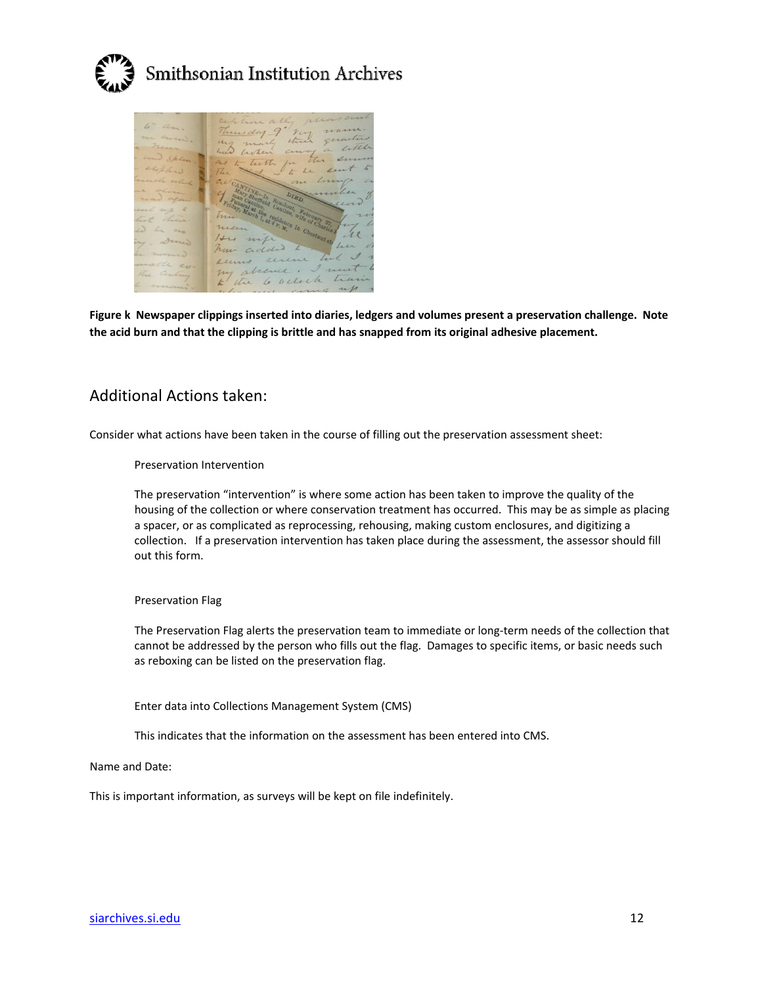



Figure k Newspaper clippings inserted into diaries, ledgers and volumes present a preservation challenge. Note **the acid burn and that the clipping is brittle and has snapped from its original adhesive placement.**

## Additional Actions taken:

Consider what actions have been taken in the course of filling out the preservation assessment sheet:

Preservation Intervention

The preservation "intervention" is where some action has been taken to improve the quality of the housing of the collection or where conservation treatment has occurred. This may be as simple as placing a spacer, or as complicated as reprocessing, rehousing, making custom enclosures, and digitizing a collection. If a preservation intervention has taken place during the assessment, the assessor should fill out this form.

### Preservation Flag

The Preservation Flag alerts the preservation team to immediate or long‐term needs of the collection that cannot be addressed by the person who fills out the flag. Damages to specific items, or basic needs such as reboxing can be listed on the preservation flag.

Enter data into Collections Management System (CMS)

This indicates that the information on the assessment has been entered into CMS.

Name and Date:

This is important information, as surveys will be kept on file indefinitely.